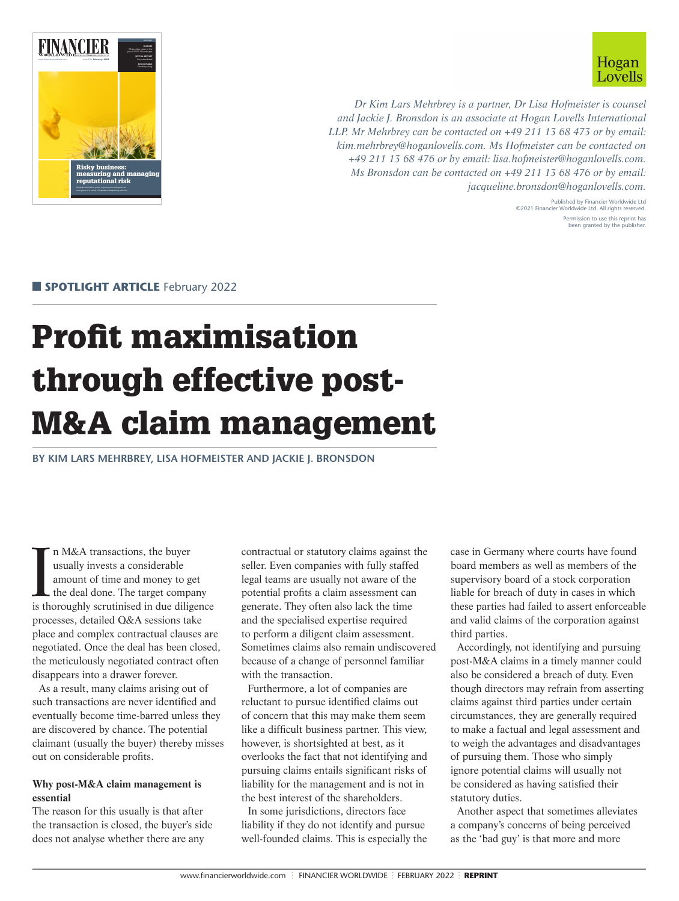



*Dr Kim Lars Mehrbrey is a partner, Dr Lisa Hofmeister is counsel and Jackie J. Bronsdon is an associate at Hogan Lovells International LLP. Mr Mehrbrey can be contacted on +49 211 13 68 473 or by email: [kim.mehrbrey@hoganlovells.com](mailto:kim.mehrbrey@hoganlovells.com). Ms Hofmeister can be contacted on +49 211 13 68 476 or by email: [lisa.hofmeister@hoganlovells.com](mailto:lisa.hofmeister@hoganlovells.com). Ms Bronsdon can be contacted on +49 211 13 68 476 or by email: [jacqueline.bronsdon@hoganlovells.com](mailto:jacqueline.bronsdon@hoganlovells.com).*

> Published by Financier Worldwide Ltd ©2021 Financier Worldwide Ltd. All rights reserved. Permission to use this reprint has been granted by the publisher.

**SPOTLIGHT ARTICLE** February 2022

# Profit maximisation through effective post-M&A claim management

**BY KIM LARS MEHRBREY, LISA HOFMEISTER AND JACKIE J. BRONSDON**

In M&A transactions, the buyer<br>usually invests a considerable<br>amount of time and money to get<br>the deal done. The target company<br>is thoroughly scrutinised in due diligence n M&A transactions, the buyer usually invests a considerable amount of time and money to get the deal done. The target company processes, detailed Q&A sessions take place and complex contractual clauses are negotiated. Once the deal has been closed, the meticulously negotiated contract often disappears into a drawer forever.

As a result, many claims arising out of such transactions are never identified and eventually become time-barred unless they are discovered by chance. The potential claimant (usually the buyer) thereby misses out on considerable profits.

# **Why post-M&A claim management is essential**

The reason for this usually is that after the transaction is closed, the buyer's side does not analyse whether there are any

contractual or statutory claims against the seller. Even companies with fully staffed legal teams are usually not aware of the potential profits a claim assessment can generate. They often also lack the time and the specialised expertise required to perform a diligent claim assessment. Sometimes claims also remain undiscovered because of a change of personnel familiar with the transaction.

Furthermore, a lot of companies are reluctant to pursue identified claims out of concern that this may make them seem like a difficult business partner. This view, however, is shortsighted at best, as it overlooks the fact that not identifying and pursuing claims entails significant risks of liability for the management and is not in the best interest of the shareholders.

In some jurisdictions, directors face liability if they do not identify and pursue well-founded claims. This is especially the case in Germany where courts have found board members as well as members of the supervisory board of a stock corporation liable for breach of duty in cases in which these parties had failed to assert enforceable and valid claims of the corporation against third parties.

Accordingly, not identifying and pursuing post-M&A claims in a timely manner could also be considered a breach of duty. Even though directors may refrain from asserting claims against third parties under certain circumstances, they are generally required to make a factual and legal assessment and to weigh the advantages and disadvantages of pursuing them. Those who simply ignore potential claims will usually not be considered as having satisfied their statutory duties.

Another aspect that sometimes alleviates a company's concerns of being perceived as the 'bad guy' is that more and more